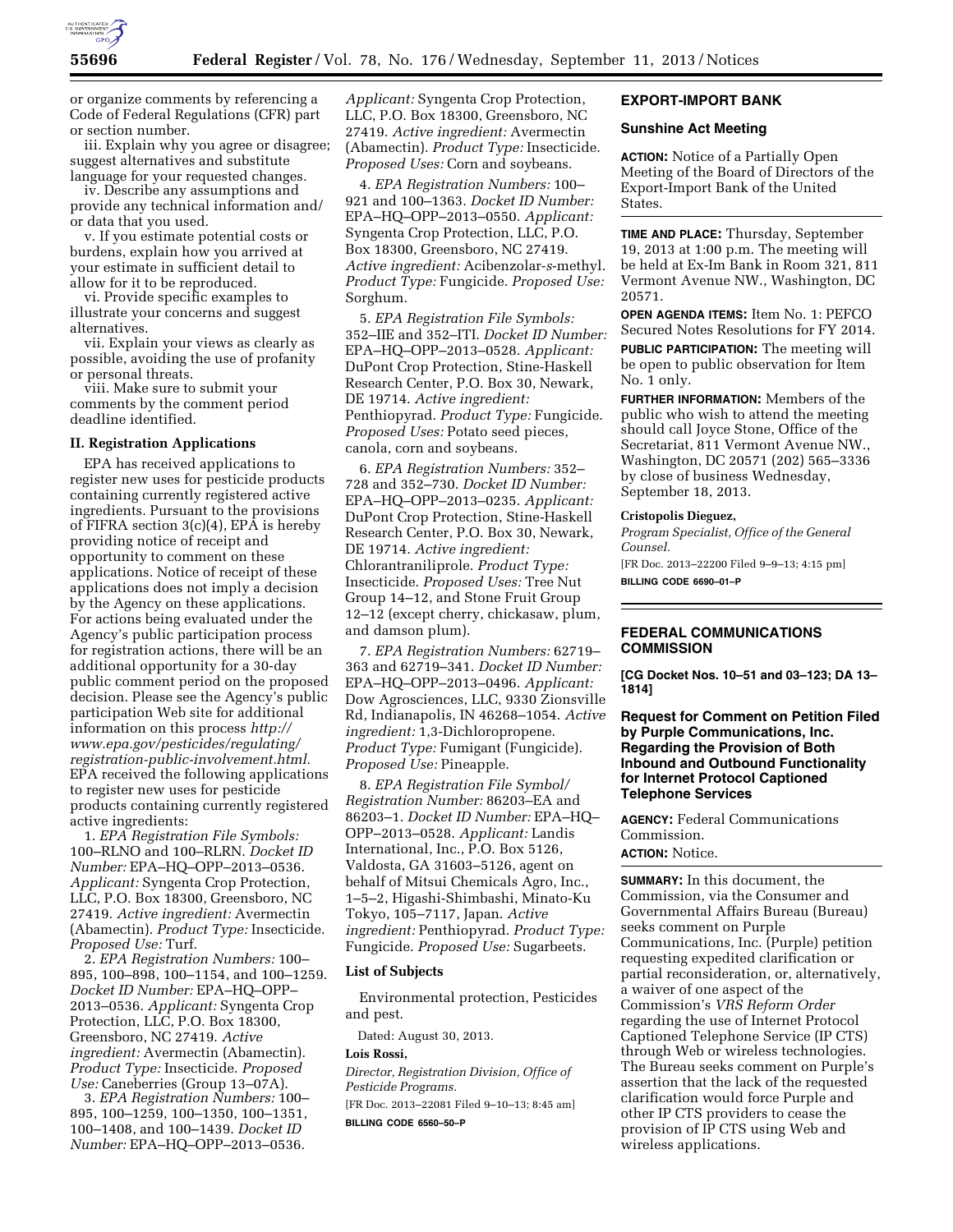

or organize comments by referencing a Code of Federal Regulations (CFR) part or section number.

iii. Explain why you agree or disagree; suggest alternatives and substitute language for your requested changes.

iv. Describe any assumptions and provide any technical information and/ or data that you used.

v. If you estimate potential costs or burdens, explain how you arrived at your estimate in sufficient detail to allow for it to be reproduced.

vi. Provide specific examples to illustrate your concerns and suggest alternatives.

vii. Explain your views as clearly as possible, avoiding the use of profanity or personal threats.

viii. Make sure to submit your comments by the comment period deadline identified.

# **II. Registration Applications**

EPA has received applications to register new uses for pesticide products containing currently registered active ingredients. Pursuant to the provisions of FIFRA section 3(c)(4), EPA is hereby providing notice of receipt and opportunity to comment on these applications. Notice of receipt of these applications does not imply a decision by the Agency on these applications. For actions being evaluated under the Agency's public participation process for registration actions, there will be an additional opportunity for a 30-day public comment period on the proposed decision. Please see the Agency's public participation Web site for additional information on this process *[http://](http://www.epa.gov/pesticides/regulating/registration-public-involvement.html) [www.epa.gov/pesticides/regulating/](http://www.epa.gov/pesticides/regulating/registration-public-involvement.html) [registration-public-involvement.html.](http://www.epa.gov/pesticides/regulating/registration-public-involvement.html)*  EPA received the following applications to register new uses for pesticide products containing currently registered active ingredients:

1. *EPA Registration File Symbols:*  100–RLNO and 100–RLRN. *Docket ID Number:* EPA–HQ–OPP–2013–0536. *Applicant:* Syngenta Crop Protection, LLC, P.O. Box 18300, Greensboro, NC 27419. *Active ingredient:* Avermectin (Abamectin). *Product Type:* Insecticide. *Proposed Use:* Turf.

2. *EPA Registration Numbers:* 100– 895, 100–898, 100–1154, and 100–1259. *Docket ID Number:* EPA–HQ–OPP– 2013–0536. *Applicant:* Syngenta Crop Protection, LLC, P.O. Box 18300, Greensboro, NC 27419. *Active ingredient:* Avermectin (Abamectin). *Product Type:* Insecticide. *Proposed Use:* Caneberries (Group 13–07A).

3. *EPA Registration Numbers:* 100– 895, 100–1259, 100–1350, 100–1351, 100–1408, and 100–1439. *Docket ID Number:* EPA–HQ–OPP–2013–0536.

*Applicant:* Syngenta Crop Protection, LLC, P.O. Box 18300, Greensboro, NC 27419. *Active ingredient:* Avermectin (Abamectin). *Product Type:* Insecticide. *Proposed Uses:* Corn and soybeans.

4. *EPA Registration Numbers:* 100– 921 and 100–1363. *Docket ID Number:*  EPA–HQ–OPP–2013–0550. *Applicant:*  Syngenta Crop Protection, LLC, P.O. Box 18300, Greensboro, NC 27419. *Active ingredient:* Acibenzolar-*s*-methyl. *Product Type:* Fungicide. *Proposed Use:*  Sorghum.

5. *EPA Registration File Symbols:*  352–IIE and 352–ITI. *Docket ID Number:*  EPA–HQ–OPP–2013–0528. *Applicant:*  DuPont Crop Protection, Stine-Haskell Research Center, P.O. Box 30, Newark, DE 19714. *Active ingredient:*  Penthiopyrad. *Product Type:* Fungicide. *Proposed Uses:* Potato seed pieces, canola, corn and soybeans.

6. *EPA Registration Numbers:* 352– 728 and 352–730. *Docket ID Number:*  EPA–HQ–OPP–2013–0235. *Applicant:*  DuPont Crop Protection, Stine-Haskell Research Center, P.O. Box 30, Newark, DE 19714. *Active ingredient:*  Chlorantraniliprole. *Product Type:*  Insecticide. *Proposed Uses:* Tree Nut Group 14–12, and Stone Fruit Group 12–12 (except cherry, chickasaw, plum, and damson plum).

7. *EPA Registration Numbers:* 62719– 363 and 62719–341. *Docket ID Number:*  EPA–HQ–OPP–2013–0496. *Applicant:*  Dow Agrosciences, LLC, 9330 Zionsville Rd, Indianapolis, IN 46268–1054. *Active ingredient:* 1,3-Dichloropropene. *Product Type:* Fumigant (Fungicide). *Proposed Use:* Pineapple.

8. *EPA Registration File Symbol/ Registration Number:* 86203–EA and 86203–1. *Docket ID Number:* EPA–HQ– OPP–2013–0528. *Applicant:* Landis International, Inc., P.O. Box 5126, Valdosta, GA 31603–5126, agent on behalf of Mitsui Chemicals Agro, Inc., 1–5–2, Higashi-Shimbashi, Minato-Ku Tokyo, 105–7117, Japan. *Active ingredient:* Penthiopyrad. *Product Type:*  Fungicide. *Proposed Use:* Sugarbeets.

### **List of Subjects**

Environmental protection, Pesticides and pest.

Dated: August 30, 2013.

### **Lois Rossi,**

*Director, Registration Division, Office of Pesticide Programs.* 

[FR Doc. 2013–22081 Filed 9–10–13; 8:45 am] **BILLING CODE 6560–50–P** 

# **EXPORT-IMPORT BANK**

### **Sunshine Act Meeting**

**ACTION:** Notice of a Partially Open Meeting of the Board of Directors of the Export-Import Bank of the United States.

**TIME AND PLACE:** Thursday, September 19, 2013 at 1:00 p.m. The meeting will be held at Ex-Im Bank in Room 321, 811 Vermont Avenue NW., Washington, DC 20571.

**OPEN AGENDA ITEMS:** Item No. 1: PEFCO Secured Notes Resolutions for FY 2014.

**PUBLIC PARTICIPATION:** The meeting will be open to public observation for Item No. 1 only.

**FURTHER INFORMATION:** Members of the public who wish to attend the meeting should call Joyce Stone, Office of the Secretariat, 811 Vermont Avenue NW., Washington, DC 20571 (202) 565–3336 by close of business Wednesday, September 18, 2013.

#### **Cristopolis Dieguez,**

*Program Specialist, Office of the General Counsel.* 

[FR Doc. 2013–22200 Filed 9–9–13; 4:15 pm] **BILLING CODE 6690–01–P** 

# **FEDERAL COMMUNICATIONS COMMISSION**

**[CG Docket Nos. 10–51 and 03–123; DA 13– 1814]** 

# **Request for Comment on Petition Filed by Purple Communications, Inc. Regarding the Provision of Both Inbound and Outbound Functionality for Internet Protocol Captioned Telephone Services**

**AGENCY:** Federal Communications Commission.

# **ACTION:** Notice.

**SUMMARY:** In this document, the Commission, via the Consumer and Governmental Affairs Bureau (Bureau) seeks comment on Purple Communications, Inc. (Purple) petition requesting expedited clarification or partial reconsideration, or, alternatively, a waiver of one aspect of the Commission's *VRS Reform Order*  regarding the use of Internet Protocol Captioned Telephone Service (IP CTS) through Web or wireless technologies. The Bureau seeks comment on Purple's assertion that the lack of the requested clarification would force Purple and other IP CTS providers to cease the provision of IP CTS using Web and wireless applications.